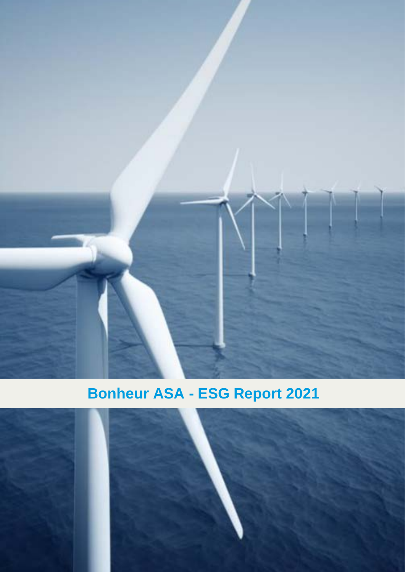

# **Bonheur ASA - ESG Report 2021**

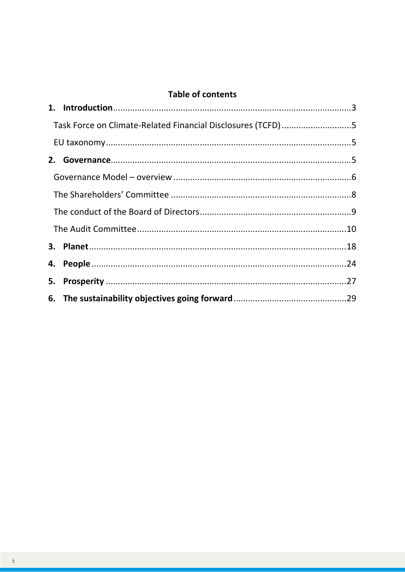# **Table of contents**

| Task Force on Climate-Related Financial Disclosures (TCFD)5 |  |
|-------------------------------------------------------------|--|
|                                                             |  |
|                                                             |  |
|                                                             |  |
|                                                             |  |
|                                                             |  |
|                                                             |  |
|                                                             |  |
|                                                             |  |
|                                                             |  |
|                                                             |  |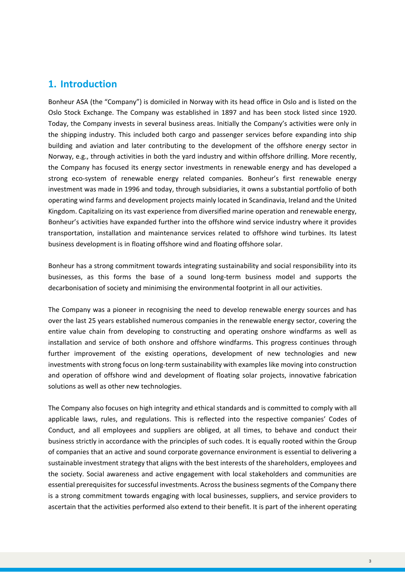## <span id="page-2-0"></span>**1. Introduction**

Bonheur ASA (the "Company") is domiciled in Norway with its head office in Oslo and is listed on the Oslo Stock Exchange. The Company was established in 1897 and has been stock listed since 1920. Today, the Company invests in several business areas. Initially the Company's activities were only in the shipping industry. This included both cargo and passenger services before expanding into ship building and aviation and later contributing to the development of the offshore energy sector in Norway, e.g., through activities in both the yard industry and within offshore drilling. More recently, the Company has focused its energy sector investments in renewable energy and has developed a strong eco-system of renewable energy related companies. Bonheur's first renewable energy investment was made in 1996 and today, through subsidiaries, it owns a substantial portfolio of both operating wind farms and development projects mainly located in Scandinavia, Ireland and the United Kingdom. Capitalizing on its vast experience from diversified marine operation and renewable energy, Bonheur's activities have expanded further into the offshore wind service industry where it provides transportation, installation and maintenance services related to offshore wind turbines. Its latest business development is in floating offshore wind and floating offshore solar.

Bonheur has a strong commitment towards integrating sustainability and social responsibility into its businesses, as this forms the base of a sound long-term business model and supports the decarbonisation of society and minimising the environmental footprint in all our activities.

The Company was a pioneer in recognising the need to develop renewable energy sources and has over the last 25 years established numerous companies in the renewable energy sector, covering the entire value chain from developing to constructing and operating onshore windfarms as well as installation and service of both onshore and offshore windfarms. This progress continues through further improvement of the existing operations, development of new technologies and new investments with strong focus on long-term sustainability with examples like moving into construction and operation of offshore wind and development of floating solar projects, innovative fabrication solutions as well as other new technologies.

The Company also focuses on high integrity and ethical standards and is committed to comply with all applicable laws, rules, and regulations. This is reflected into the respective companies' Codes of Conduct, and all employees and suppliers are obliged, at all times, to behave and conduct their business strictly in accordance with the principles of such codes. It is equally rooted within the Group of companies that an active and sound corporate governance environment is essential to delivering a sustainable investment strategy that aligns with the best interests of the shareholders, employees and the society. Social awareness and active engagement with local stakeholders and communities are essential prerequisites for successful investments. Across the business segments of the Company there is a strong commitment towards engaging with local businesses, suppliers, and service providers to ascertain that the activities performed also extend to their benefit. It is part of the inherent operating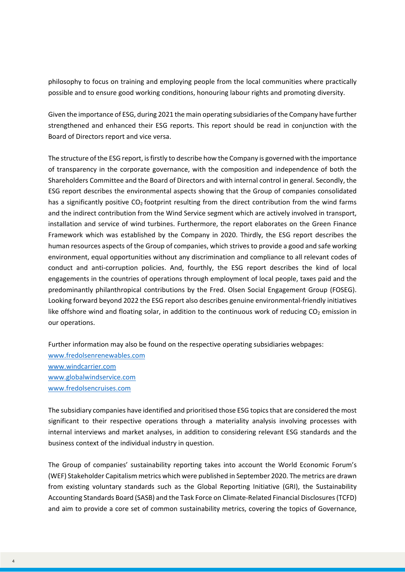philosophy to focus on training and employing people from the local communities where practically possible and to ensure good working conditions, honouring labour rights and promoting diversity.

Given the importance of ESG, during 2021 the main operating subsidiaries of the Company have further strengthened and enhanced their ESG reports. This report should be read in conjunction with the Board of Directors report and vice versa.

The structure of the ESG report, is firstly to describe how the Company is governed with the importance of transparency in the corporate governance, with the composition and independence of both the Shareholders Committee and the Board of Directors and with internal control in general. Secondly, the ESG report describes the environmental aspects showing that the Group of companies consolidated has a significantly positive  $CO<sub>2</sub>$  footprint resulting from the direct contribution from the wind farms and the indirect contribution from the Wind Service segment which are actively involved in transport, installation and service of wind turbines. Furthermore, the report elaborates on the Green Finance Framework which was established by the Company in 2020. Thirdly, the ESG report describes the human resources aspects of the Group of companies, which strives to provide a good and safe working environment, equal opportunities without any discrimination and compliance to all relevant codes of conduct and anti-corruption policies. And, fourthly, the ESG report describes the kind of local engagements in the countries of operations through employment of local people, taxes paid and the predominantly philanthropical contributions by the Fred. Olsen Social Engagement Group (FOSEG). Looking forward beyond 2022 the ESG report also describes genuine environmental-friendly initiatives like offshore wind and floating solar, in addition to the continuous work of reducing  $CO<sub>2</sub>$  emission in our operations.

Further information may also be found on the respective operating subsidiaries webpages: [www.fredolsenrenewables.com](https://fredolsenrenewables.com/media/ag0dssx3/for-esg-report-2021.pdf) [www.windcarrier.com](https://windcarrier.com/media/ijkjjly0/esg-report-final-signed-for-website.pdf) [www.globalwindservice.com](https://globalwindservice.com/media/s3dal4km/esg-report-2021.pdf) [www.fredolsencruises.com](https://68c8648dbe66747498d1-6027f91c84d2b73bebfc9b6bc4f4a0ac.ssl.cf3.rackcdn.com/60587282db762c35a84ff844/FOCL_ESG_2020_Report_Final.pdf)

The subsidiary companies have identified and prioritised those ESG topics that are considered the most significant to their respective operations through a materiality analysis involving processes with internal interviews and market analyses, in addition to considering relevant ESG standards and the business context of the individual industry in question.

The Group of companies' sustainability reporting takes into account the World Economic Forum's (WEF) Stakeholder Capitalism metrics which were published in September 2020. The metrics are drawn from existing voluntary standards such as the Global Reporting Initiative (GRI), the Sustainability Accounting Standards Board (SASB) and the Task Force on Climate-Related Financial Disclosures (TCFD) and aim to provide a core set of common sustainability metrics, covering the topics of Governance,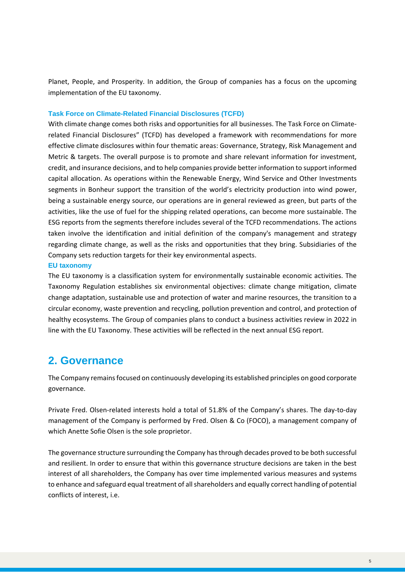Planet, People, and Prosperity. In addition, the Group of companies has a focus on the upcoming implementation of the EU taxonomy.

#### <span id="page-4-0"></span>**Task Force on Climate-Related Financial Disclosures (TCFD)**

With climate change comes both risks and opportunities for all businesses. The Task Force on Climaterelated Financial Disclosures" (TCFD) has developed a framework with recommendations for more effective climate disclosures within four thematic areas: Governance, Strategy, Risk Management and Metric & targets. The overall purpose is to promote and share relevant information for investment, credit, and insurance decisions, and to help companies provide better information to support informed capital allocation. As operations within the Renewable Energy, Wind Service and Other Investments segments in Bonheur support the transition of the world's electricity production into wind power, being a sustainable energy source, our operations are in general reviewed as green, but parts of the activities, like the use of fuel for the shipping related operations, can become more sustainable. The ESG reports from the segments therefore includes several of the TCFD recommendations. The actions taken involve the identification and initial definition of the company's management and strategy regarding climate change, as well as the risks and opportunities that they bring. Subsidiaries of the Company sets reduction targets for their key environmental aspects.

#### <span id="page-4-1"></span>**EU taxonomy**

The EU taxonomy is a classification system for environmentally sustainable economic activities. The Taxonomy Regulation establishes six environmental objectives: climate change mitigation, climate change adaptation, sustainable use and protection of water and marine resources, the transition to a circular economy, waste prevention and recycling, pollution prevention and control, and protection of healthy ecosystems. The Group of companies plans to conduct a business activities review in 2022 in line with the EU Taxonomy. These activities will be reflected in the next annual ESG report.

# <span id="page-4-2"></span>**2. Governance**

The Company remains focused on continuously developing its established principles on good corporate governance.

Private Fred. Olsen-related interests hold a total of 51.8% of the Company's shares. The day-to-day management of the Company is performed by Fred. Olsen & Co (FOCO), a management company of which Anette Sofie Olsen is the sole proprietor.

The governance structure surrounding the Company has through decades proved to be both successful and resilient. In order to ensure that within this governance structure decisions are taken in the best interest of all shareholders, the Company has over time implemented various measures and systems to enhance and safeguard equal treatment of all shareholders and equally correct handling of potential conflicts of interest, i.e.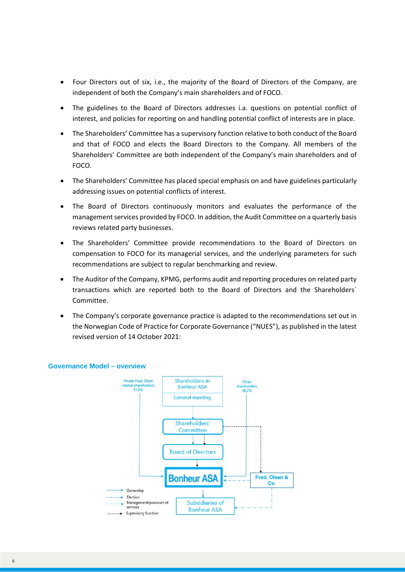- Four Directors out of six, i.e., the majority of the Board of Directors of the Company, are independent of both the Company's main shareholders and of FOCO.
- The guidelines to the Board of Directors addresses i.a. questions on potential conflict of interest, and policies for reporting on and handling potential conflict of interests are in place.
- The Shareholders' Committee has a supervisory function relative to both conduct of the Board and that of FOCO and elects the Board Directors to the Company. All members of the Shareholders' Committee are both independent of the Company's main shareholders and of FOCO.
- The Shareholders' Committee has placed special emphasis on and have guidelines particularly addressing issues on potential conflicts of interest.
- The Board of Directors continuously monitors and evaluates the performance of the management services provided by FOCO. In addition, the Audit Committee on a quarterly basis reviews related party businesses.
- The Shareholders' Committee provide recommendations to the Board of Directors on compensation to FOCO for its managerial services, and the underlying parameters for such recommendations are subject to regular benchmarking and review.
- The Auditor of the Company, KPMG, performs audit and reporting procedures on related party transactions which are reported both to the Board of Directors and the Shareholders` Committee.
- The Company's corporate governance practice is adapted to the recommendations set out in the Norwegian Code of Practice for Corporate Governance ("NUES"), as published in the latest revised version of 14 October 2021:



#### <span id="page-5-0"></span>**Governance Model – overview**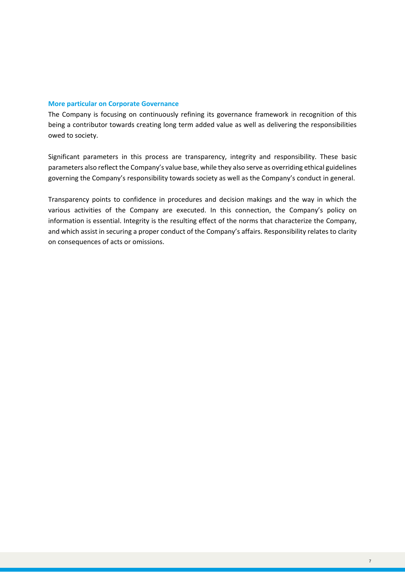#### **More particular on Corporate Governance**

The Company is focusing on continuously refining its governance framework in recognition of this being a contributor towards creating long term added value as well as delivering the responsibilities owed to society.

Significant parameters in this process are transparency, integrity and responsibility. These basic parameters also reflect the Company's value base, while they also serve as overriding ethical guidelines governing the Company's responsibility towards society as well as the Company's conduct in general.

Transparency points to confidence in procedures and decision makings and the way in which the various activities of the Company are executed. In this connection, the Company's policy on information is essential. Integrity is the resulting effect of the norms that characterize the Company, and which assist in securing a proper conduct of the Company's affairs. Responsibility relates to clarity on consequences of acts or omissions.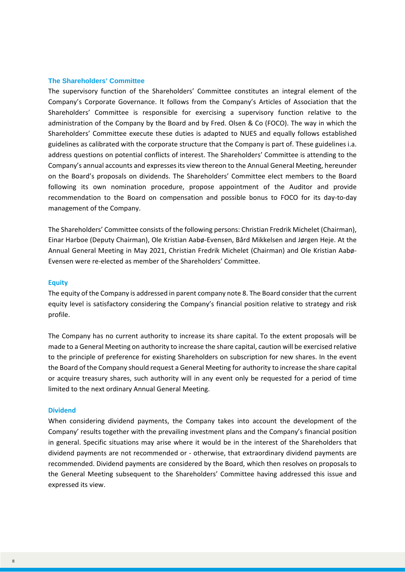#### <span id="page-7-0"></span>**The Shareholders' Committee**

The supervisory function of the Shareholders' Committee constitutes an integral element of the Company's Corporate Governance. It follows from the Company's Articles of Association that the Shareholders' Committee is responsible for exercising a supervisory function relative to the administration of the Company by the Board and by Fred. Olsen & Co (FOCO). The way in which the Shareholders' Committee execute these duties is adapted to NUES and equally follows established guidelines as calibrated with the corporate structure that the Company is part of. These guidelines i.a. address questions on potential conflicts of interest. The Shareholders' Committee is attending to the Company's annual accounts and expresses its view thereon to the Annual General Meeting, hereunder on the Board's proposals on dividends. The Shareholders' Committee elect members to the Board following its own nomination procedure, propose appointment of the Auditor and provide recommendation to the Board on compensation and possible bonus to FOCO for its day-to-day management of the Company.

The Shareholders' Committee consists of the following persons: Christian Fredrik Michelet (Chairman), Einar Harboe (Deputy Chairman), Ole Kristian Aabø-Evensen, Bård Mikkelsen and Jørgen Heje. At the Annual General Meeting in May 2021, Christian Fredrik Michelet (Chairman) and Ole Kristian Aabø-Evensen were re-elected as member of the Shareholders' Committee.

#### **Equity**

The equity of the Company is addressed in parent company note 8. The Board consider that the current equity level is satisfactory considering the Company's financial position relative to strategy and risk profile.

The Company has no current authority to increase its share capital. To the extent proposals will be made to a General Meeting on authority to increase the share capital, caution will be exercised relative to the principle of preference for existing Shareholders on subscription for new shares. In the event the Board of the Company should request a General Meeting for authority to increase the share capital or acquire treasury shares, such authority will in any event only be requested for a period of time limited to the next ordinary Annual General Meeting.

#### **Dividend**

When considering dividend payments, the Company takes into account the development of the Company' results together with the prevailing investment plans and the Company's financial position in general. Specific situations may arise where it would be in the interest of the Shareholders that dividend payments are not recommended or - otherwise, that extraordinary dividend payments are recommended. Dividend payments are considered by the Board, which then resolves on proposals to the General Meeting subsequent to the Shareholders' Committee having addressed this issue and expressed its view.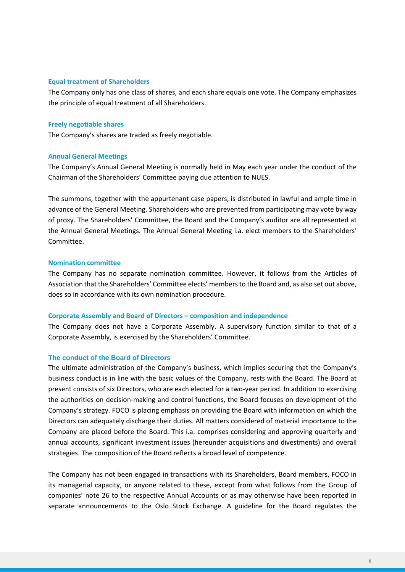#### **Equal treatment of Shareholders**

The Company only has one class of shares, and each share equals one vote. The Company emphasizes the principle of equal treatment of all Shareholders.

#### **Freely negotiable shares**

The Company's shares are traded as freely negotiable.

#### **Annual General Meetings**

The Company's Annual General Meeting is normally held in May each year under the conduct of the Chairman of the Shareholders' Committee paying due attention to NUES.

The summons, together with the appurtenant case papers, is distributed in lawful and ample time in advance of the General Meeting. Shareholders who are prevented from participating may vote by way of proxy. The Shareholders' Committee, the Board and the Company's auditor are all represented at the Annual General Meetings. The Annual General Meeting i.a. elect members to the Shareholders' Committee.

#### **Nomination committee**

The Company has no separate nomination committee. However, it follows from the Articles of Association that the Shareholders' Committee elects' members to the Board and, as also set out above, does so in accordance with its own nomination procedure.

#### **Corporate Assembly and Board of Directors – composition and independence**

The Company does not have a Corporate Assembly. A supervisory function similar to that of a Corporate Assembly, is exercised by the Shareholders' Committee.

#### <span id="page-8-0"></span>**The conduct of the Board of Directors**

The ultimate administration of the Company's business, which implies securing that the Company's business conduct is in line with the basic values of the Company, rests with the Board. The Board at present consists of six Directors, who are each elected for a two-year period. In addition to exercising the authorities on decision-making and control functions, the Board focuses on development of the Company's strategy. FOCO is placing emphasis on providing the Board with information on which the Directors can adequately discharge their duties. All matters considered of material importance to the Company are placed before the Board. This i.a. comprises considering and approving quarterly and annual accounts, significant investment issues (hereunder acquisitions and divestments) and overall strategies. The composition of the Board reflects a broad level of competence.

The Company has not been engaged in transactions with its Shareholders, Board members, FOCO in its managerial capacity, or anyone related to these, except from what follows from the Group of companies' note 26 to the respective Annual Accounts or as may otherwise have been reported in separate announcements to the Oslo Stock Exchange. A guideline for the Board regulates the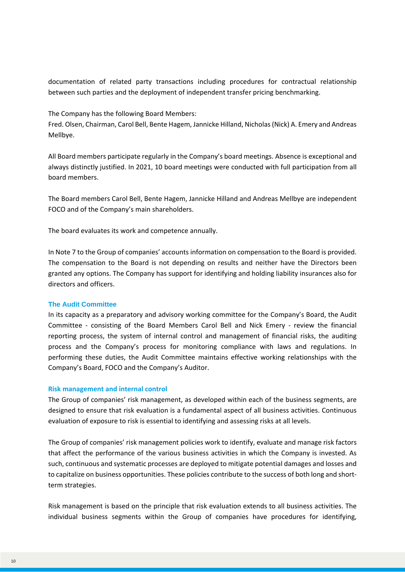documentation of related party transactions including procedures for contractual relationship between such parties and the deployment of independent transfer pricing benchmarking.

The Company has the following Board Members:

Fred. Olsen, Chairman, Carol Bell, Bente Hagem, Jannicke Hilland, Nicholas(Nick) A. Emery and Andreas Mellbye.

All Board members participate regularly in the Company's board meetings. Absence is exceptional and always distinctly justified. In 2021, 10 board meetings were conducted with full participation from all board members.

The Board members Carol Bell, Bente Hagem, Jannicke Hilland and Andreas Mellbye are independent FOCO and of the Company's main shareholders.

The board evaluates its work and competence annually.

In Note 7 to the Group of companies' accounts information on compensation to the Board is provided. The compensation to the Board is not depending on results and neither have the Directors been granted any options. The Company has support for identifying and holding liability insurances also for directors and officers.

#### <span id="page-9-0"></span>**The Audit Committee**

In its capacity as a preparatory and advisory working committee for the Company's Board, the Audit Committee - consisting of the Board Members Carol Bell and Nick Emery - review the financial reporting process, the system of internal control and management of financial risks, the auditing process and the Company's process for monitoring compliance with laws and regulations. In performing these duties, the Audit Committee maintains effective working relationships with the Company's Board, FOCO and the Company's Auditor.

#### **Risk management and internal control**

The Group of companies' risk management, as developed within each of the business segments, are designed to ensure that risk evaluation is a fundamental aspect of all business activities. Continuous evaluation of exposure to risk is essential to identifying and assessing risks at all levels.

The Group of companies' risk management policies work to identify, evaluate and manage risk factors that affect the performance of the various business activities in which the Company is invested. As such, continuous and systematic processes are deployed to mitigate potential damages and losses and to capitalize on business opportunities. These policies contribute to the success of both long and shortterm strategies.

Risk management is based on the principle that risk evaluation extends to all business activities. The individual business segments within the Group of companies have procedures for identifying,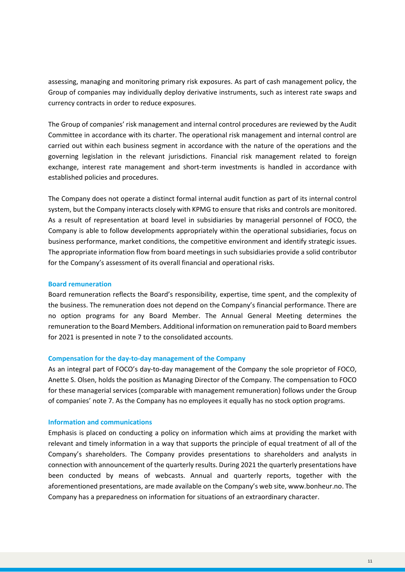assessing, managing and monitoring primary risk exposures. As part of cash management policy, the Group of companies may individually deploy derivative instruments, such as interest rate swaps and currency contracts in order to reduce exposures.

The Group of companies' risk management and internal control procedures are reviewed by the Audit Committee in accordance with its charter. The operational risk management and internal control are carried out within each business segment in accordance with the nature of the operations and the governing legislation in the relevant jurisdictions. Financial risk management related to foreign exchange, interest rate management and short-term investments is handled in accordance with established policies and procedures.

The Company does not operate a distinct formal internal audit function as part of its internal control system, but the Company interacts closely with KPMG to ensure that risks and controls are monitored. As a result of representation at board level in subsidiaries by managerial personnel of FOCO, the Company is able to follow developments appropriately within the operational subsidiaries, focus on business performance, market conditions, the competitive environment and identify strategic issues. The appropriate information flow from board meetings in such subsidiaries provide a solid contributor for the Company's assessment of its overall financial and operational risks.

#### **Board remuneration**

Board remuneration reflects the Board's responsibility, expertise, time spent, and the complexity of the business. The remuneration does not depend on the Company's financial performance. There are no option programs for any Board Member. The Annual General Meeting determines the remuneration to the Board Members. Additional information on remuneration paid to Board members for 2021 is presented in note 7 to the consolidated accounts.

#### **Compensation for the day-to-day management of the Company**

As an integral part of FOCO's day-to-day management of the Company the sole proprietor of FOCO, Anette S. Olsen, holds the position as Managing Director of the Company. The compensation to FOCO for these managerial services (comparable with management remuneration) follows under the Group of companies' note 7. As the Company has no employees it equally has no stock option programs.

#### **Information and communications**

Emphasis is placed on conducting a policy on information which aims at providing the market with relevant and timely information in a way that supports the principle of equal treatment of all of the Company's shareholders. The Company provides presentations to shareholders and analysts in connection with announcement of the quarterly results. During 2021 the quarterly presentations have been conducted by means of webcasts. Annual and quarterly reports, together with the aforementioned presentations, are made available on the Company's web site, www.bonheur.no. The Company has a preparedness on information for situations of an extraordinary character.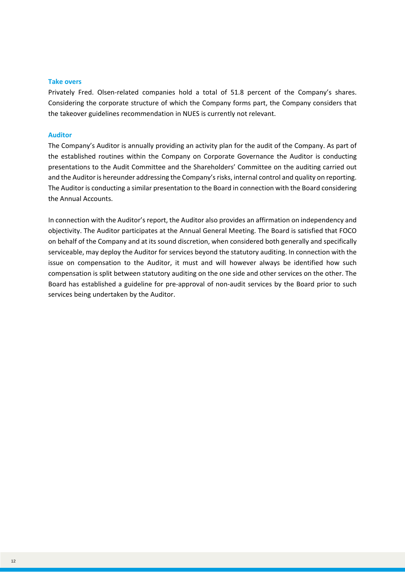#### **Take overs**

Privately Fred. Olsen-related companies hold a total of 51.8 percent of the Company's shares. Considering the corporate structure of which the Company forms part, the Company considers that the takeover guidelines recommendation in NUES is currently not relevant.

#### **Auditor**

The Company's Auditor is annually providing an activity plan for the audit of the Company. As part of the established routines within the Company on Corporate Governance the Auditor is conducting presentations to the Audit Committee and the Shareholders' Committee on the auditing carried out and the Auditor is hereunder addressing the Company's risks, internal control and quality on reporting. The Auditor is conducting a similar presentation to the Board in connection with the Board considering the Annual Accounts.

In connection with the Auditor's report, the Auditor also provides an affirmation on independency and objectivity. The Auditor participates at the Annual General Meeting. The Board is satisfied that FOCO on behalf of the Company and at its sound discretion, when considered both generally and specifically serviceable, may deploy the Auditor for services beyond the statutory auditing. In connection with the issue on compensation to the Auditor, it must and will however always be identified how such compensation is split between statutory auditing on the one side and other services on the other. The Board has established a guideline for pre-approval of non-audit services by the Board prior to such services being undertaken by the Auditor.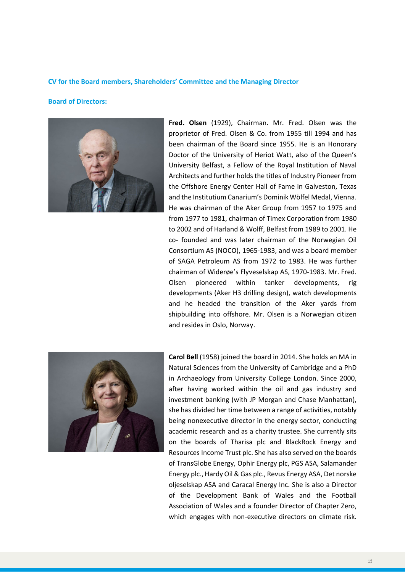#### **CV for the Board members, Shareholders' Committee and the Managing Director**

#### **Board of Directors:**



**Fred. Olsen** (1929), Chairman. Mr. Fred. Olsen was the proprietor of Fred. Olsen & Co. from 1955 till 1994 and has been chairman of the Board since 1955. He is an Honorary Doctor of the University of Heriot Watt, also of the Queen's University Belfast, a Fellow of the Royal Institution of Naval Architects and further holds the titles of Industry Pioneer from the Offshore Energy Center Hall of Fame in Galveston, Texas and the Institutium Canarium's Dominik Wölfel Medal, Vienna. He was chairman of the Aker Group from 1957 to 1975 and from 1977 to 1981, chairman of Timex Corporation from 1980 to 2002 and of Harland & Wolff, Belfast from 1989 to 2001. He co- founded and was later chairman of the Norwegian Oil Consortium AS (NOCO), 1965-1983, and was a board member of SAGA Petroleum AS from 1972 to 1983. He was further chairman of Widerøe's Flyveselskap AS, 1970-1983. Mr. Fred. Olsen pioneered within tanker developments, rig developments (Aker H3 drilling design), watch developments and he headed the transition of the Aker yards from shipbuilding into offshore. Mr. Olsen is a Norwegian citizen and resides in Oslo, Norway.



**Carol Bell** (1958) joined the board in 2014. She holds an MA in Natural Sciences from the University of Cambridge and a PhD in Archaeology from University College London. Since 2000, after having worked within the oil and gas industry and investment banking (with JP Morgan and Chase Manhattan), she has divided her time between a range of activities, notably being nonexecutive director in the energy sector, conducting academic research and as a charity trustee. She currently sits on the boards of Tharisa plc and BlackRock Energy and Resources Income Trust plc. She has also served on the boards of TransGlobe Energy, Ophir Energy plc, PGS ASA, Salamander Energy plc., Hardy Oil & Gas plc., Revus Energy ASA, Det norske oljeselskap ASA and Caracal Energy Inc. She is also a Director of the Development Bank of Wales and the Football Association of Wales and a founder Director of Chapter Zero, which engages with non-executive directors on climate risk.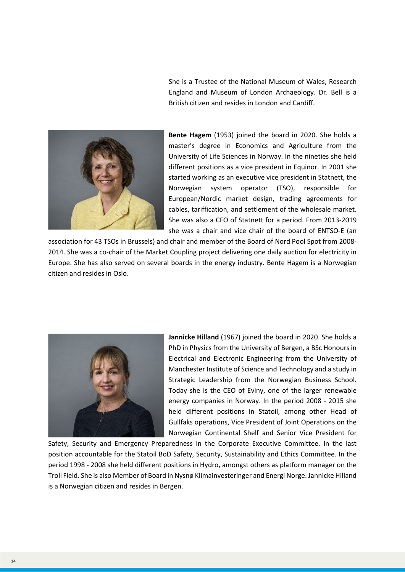She is a Trustee of the National Museum of Wales, Research England and Museum of London Archaeology. Dr. Bell is a British citizen and resides in London and Cardiff.



**Bente Hagem** (1953) joined the board in 2020. She holds a master's degree in Economics and Agriculture from the University of Life Sciences in Norway. In the nineties she held different positions as a vice president in Equinor. In 2001 she started working as an executive vice president in Statnett, the Norwegian system operator (TSO), responsible for European/Nordic market design, trading agreements for cables, tariffication, and settlement of the wholesale market. She was also a CFO of Statnett for a period. From 2013-2019 she was a chair and vice chair of the board of ENTSO-E (an

association for 43 TSOs in Brussels) and chair and member of the Board of Nord Pool Spot from 2008- 2014. She was a co-chair of the Market Coupling project delivering one daily auction for electricity in Europe. She has also served on several boards in the energy industry. Bente Hagem is a Norwegian citizen and resides in Oslo.



**Jannicke Hilland** (1967) joined the board in 2020. She holds a PhD in Physics from the University of Bergen, a BSc Honours in Electrical and Electronic Engineering from the University of Manchester Institute of Science and Technology and a study in Strategic Leadership from the Norwegian Business School. Today she is the CEO of Eviny, one of the larger renewable energy companies in Norway. In the period 2008 - 2015 she held different positions in Statoil, among other Head of Gullfaks operations, Vice President of Joint Operations on the Norwegian Continental Shelf and Senior Vice President for

Safety, Security and Emergency Preparedness in the Corporate Executive Committee. In the last position accountable for the Statoil BoD Safety, Security, Sustainability and Ethics Committee. In the period 1998 - 2008 she held different positions in Hydro, amongst others as platform manager on the Troll Field. She is also Member of Board in Nysnø Klimainvesteringer and Energi Norge. Jannicke Hilland is a Norwegian citizen and resides in Bergen.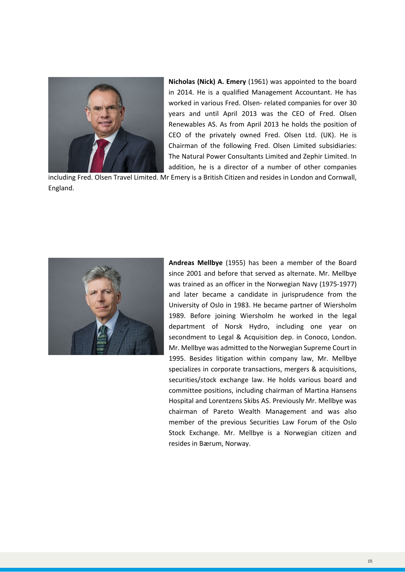

**Nicholas (Nick) A. Emery** (1961) was appointed to the board in 2014. He is a qualified Management Accountant. He has worked in various Fred. Olsen- related companies for over 30 years and until April 2013 was the CEO of Fred. Olsen Renewables AS. As from April 2013 he holds the position of CEO of the privately owned Fred. Olsen Ltd. (UK). He is Chairman of the following Fred. Olsen Limited subsidiaries: The Natural Power Consultants Limited and Zephir Limited. In addition, he is a director of a number of other companies

including Fred. Olsen Travel Limited. Mr Emery is a British Citizen and resides in London and Cornwall, England.



**Andreas Mellbye** (1955) has been a member of the Board since 2001 and before that served as alternate. Mr. Mellbye was trained as an officer in the Norwegian Navy (1975-1977) and later became a candidate in jurisprudence from the University of Oslo in 1983. He became partner of Wiersholm 1989. Before joining Wiersholm he worked in the legal department of Norsk Hydro, including one year on secondment to Legal & Acquisition dep. in Conoco, London. Mr. Mellbye was admitted to the Norwegian Supreme Court in 1995. Besides litigation within company law, Mr. Mellbye specializes in corporate transactions, mergers & acquisitions, securities/stock exchange law. He holds various board and committee positions, including chairman of Martina Hansens Hospital and Lorentzens Skibs AS. Previously Mr. Mellbye was chairman of Pareto Wealth Management and was also member of the previous Securities Law Forum of the Oslo Stock Exchange. Mr. Mellbye is a Norwegian citizen and resides in Bærum, Norway.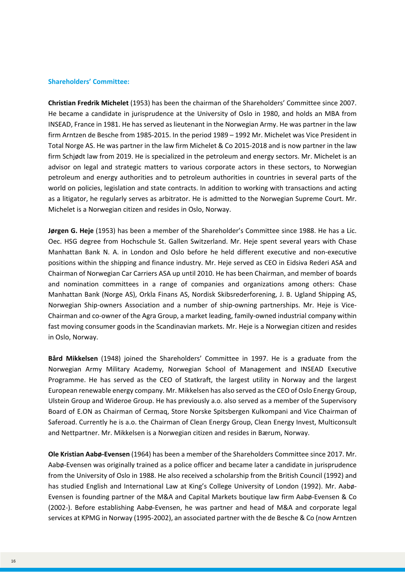#### **Shareholders' Committee:**

**Christian Fredrik Michelet** (1953) has been the chairman of the Shareholders' Committee since 2007. He became a candidate in jurisprudence at the University of Oslo in 1980, and holds an MBA from INSEAD, France in 1981. He has served as lieutenant in the Norwegian Army. He was partner in the law firm Arntzen de Besche from 1985-2015. In the period 1989 – 1992 Mr. Michelet was Vice President in Total Norge AS. He was partner in the law firm Michelet & Co 2015-2018 and is now partner in the law firm Schjødt law from 2019. He is specialized in the petroleum and energy sectors. Mr. Michelet is an advisor on legal and strategic matters to various corporate actors in these sectors, to Norwegian petroleum and energy authorities and to petroleum authorities in countries in several parts of the world on policies, legislation and state contracts. In addition to working with transactions and acting as a litigator, he regularly serves as arbitrator. He is admitted to the Norwegian Supreme Court. Mr. Michelet is a Norwegian citizen and resides in Oslo, Norway.

**Jørgen G. Heje** (1953) has been a member of the Shareholder's Committee since 1988. He has a Lic. Oec. HSG degree from Hochschule St. Gallen Switzerland. Mr. Heje spent several years with Chase Manhattan Bank N. A. in London and Oslo before he held different executive and non-executive positions within the shipping and finance industry. Mr. Heje served as CEO in Eidsiva Rederi ASA and Chairman of Norwegian Car Carriers ASA up until 2010. He has been Chairman, and member of boards and nomination committees in a range of companies and organizations among others: Chase Manhattan Bank (Norge AS), Orkla Finans AS, Nordisk Skibsrederforening, J. B. Ugland Shipping AS, Norwegian Ship-owners Association and a number of ship-owning partnerships. Mr. Heje is Vice-Chairman and co-owner of the Agra Group, a market leading, family-owned industrial company within fast moving consumer goods in the Scandinavian markets. Mr. Heje is a Norwegian citizen and resides in Oslo, Norway.

**Bård Mikkelsen** (1948) joined the Shareholders' Committee in 1997. He is a graduate from the Norwegian Army Military Academy, Norwegian School of Management and INSEAD Executive Programme. He has served as the CEO of Statkraft, the largest utility in Norway and the largest European renewable energy company. Mr. Mikkelsen has also served as the CEO of Oslo Energy Group, Ulstein Group and Wideroe Group. He has previously a.o. also served as a member of the Supervisory Board of E.ON as Chairman of Cermaq, Store Norske Spitsbergen Kulkompani and Vice Chairman of Saferoad. Currently he is a.o. the Chairman of Clean Energy Group, Clean Energy Invest, Multiconsult and Nettpartner. Mr. Mikkelsen is a Norwegian citizen and resides in Bærum, Norway.

**Ole Kristian Aabø-Evensen** (1964) has been a member of the Shareholders Committee since 2017. Mr. Aabø-Evensen was originally trained as a police officer and became later a candidate in jurisprudence from the University of Oslo in 1988. He also received a scholarship from the British Council (1992) and has studied English and International Law at King's College University of London (1992). Mr. Aabø-Evensen is founding partner of the M&A and Capital Markets boutique law firm Aabø-Evensen & Co (2002-). Before establishing Aabø-Evensen, he was partner and head of M&A and corporate legal services at KPMG in Norway (1995-2002), an associated partner with the de Besche & Co (now Arntzen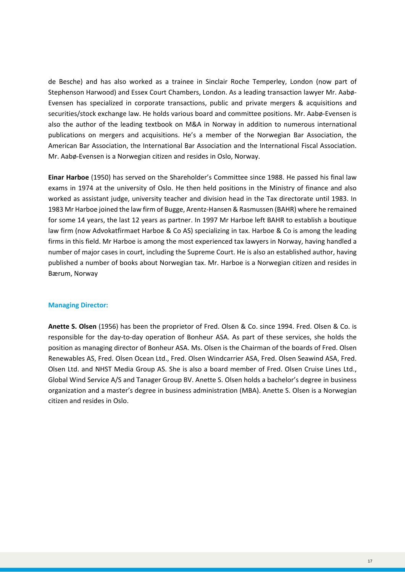de Besche) and has also worked as a trainee in Sinclair Roche Temperley, London (now part of Stephenson Harwood) and Essex Court Chambers, London. As a leading transaction lawyer Mr. Aabø-Evensen has specialized in corporate transactions, public and private mergers & acquisitions and securities/stock exchange law. He holds various board and committee positions. Mr. Aabø-Evensen is also the author of the leading textbook on M&A in Norway in addition to numerous international publications on mergers and acquisitions. He's a member of the Norwegian Bar Association, the American Bar Association, the International Bar Association and the International Fiscal Association. Mr. Aabø-Evensen is a Norwegian citizen and resides in Oslo, Norway.

**Einar Harboe** (1950) has served on the Shareholder's Committee since 1988. He passed his final law exams in 1974 at the university of Oslo. He then held positions in the Ministry of finance and also worked as assistant judge, university teacher and division head in the Tax directorate until 1983. In 1983 Mr Harboe joined the law firm of Bugge, Arentz-Hansen & Rasmussen (BAHR) where he remained for some 14 years, the last 12 years as partner. In 1997 Mr Harboe left BAHR to establish a boutique law firm (now Advokatfirmaet Harboe & Co AS) specializing in tax. Harboe & Co is among the leading firms in this field. Mr Harboe is among the most experienced tax lawyers in Norway, having handled a number of major cases in court, including the Supreme Court. He is also an established author, having published a number of books about Norwegian tax. Mr. Harboe is a Norwegian citizen and resides in Bærum, Norway

#### **Managing Director:**

**Anette S. Olsen** (1956) has been the proprietor of Fred. Olsen & Co. since 1994. Fred. Olsen & Co. is responsible for the day-to-day operation of Bonheur ASA. As part of these services, she holds the position as managing director of Bonheur ASA. Ms. Olsen is the Chairman of the boards of Fred. Olsen Renewables AS, Fred. Olsen Ocean Ltd., Fred. Olsen Windcarrier ASA, Fred. Olsen Seawind ASA, Fred. Olsen Ltd. and NHST Media Group AS. She is also a board member of Fred. Olsen Cruise Lines Ltd., Global Wind Service A/S and Tanager Group BV. Anette S. Olsen holds a bachelor's degree in business organization and a master's degree in business administration (MBA). Anette S. Olsen is a Norwegian citizen and resides in Oslo.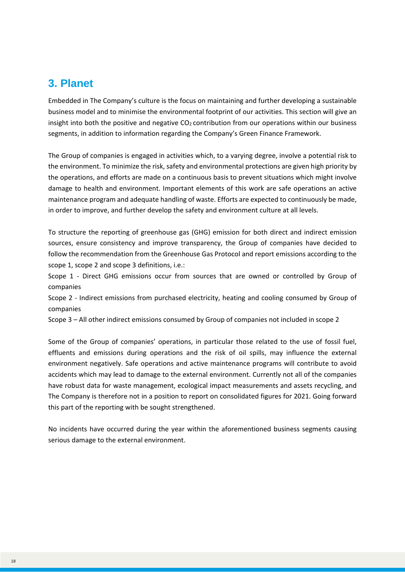# <span id="page-17-0"></span>**3. Planet**

Embedded in The Company's culture is the focus on maintaining and further developing a sustainable business model and to minimise the environmental footprint of our activities. This section will give an insight into both the positive and negative  $CO<sub>2</sub>$  contribution from our operations within our business segments, in addition to information regarding the Company's Green Finance Framework.

The Group of companies is engaged in activities which, to a varying degree, involve a potential risk to the environment. To minimize the risk, safety and environmental protections are given high priority by the operations, and efforts are made on a continuous basis to prevent situations which might involve damage to health and environment. Important elements of this work are safe operations an active maintenance program and adequate handling of waste. Efforts are expected to continuously be made, in order to improve, and further develop the safety and environment culture at all levels.

To structure the reporting of greenhouse gas (GHG) emission for both direct and indirect emission sources, ensure consistency and improve transparency, the Group of companies have decided to follow the recommendation from the Greenhouse Gas Protocol and report emissions according to the scope 1, scope 2 and scope 3 definitions, i.e.:

Scope 1 - Direct GHG emissions occur from sources that are owned or controlled by Group of companies

Scope 2 - Indirect emissions from purchased electricity, heating and cooling consumed by Group of companies

Scope 3 – All other indirect emissions consumed by Group of companies not included in scope 2

Some of the Group of companies' operations, in particular those related to the use of fossil fuel, effluents and emissions during operations and the risk of oil spills, may influence the external environment negatively. Safe operations and active maintenance programs will contribute to avoid accidents which may lead to damage to the external environment. Currently not all of the companies have robust data for waste management, ecological impact measurements and assets recycling, and The Company is therefore not in a position to report on consolidated figures for 2021. Going forward this part of the reporting with be sought strengthened.

No incidents have occurred during the year within the aforementioned business segments causing serious damage to the external environment.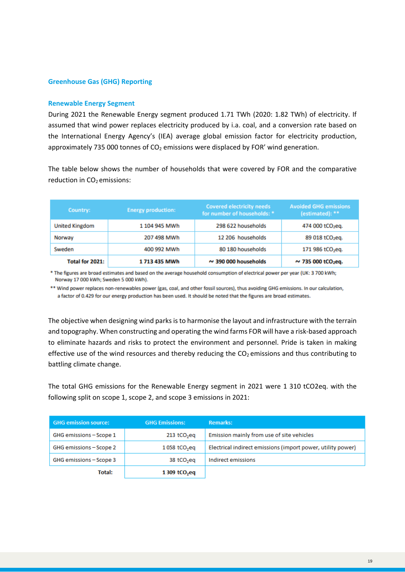#### **Greenhouse Gas (GHG) Reporting**

#### **Renewable Energy Segment**

During 2021 the Renewable Energy segment produced 1.71 TWh (2020: 1.82 TWh) of electricity. If assumed that wind power replaces electricity produced by i.a. coal, and a conversion rate based on the International Energy Agency's (IEA) average global emission factor for electricity production, approximately 735 000 tonnes of  $CO<sub>2</sub>$  emissions were displaced by FOR' wind generation.

The table below shows the number of households that were covered by FOR and the comparative reduction in  $CO<sub>2</sub>$  emissions:

| Country:              | <b>Energy production:</b> | <b>Covered electricity needs</b><br>for number of households: * | <b>Avoided GHG emissions</b><br>(estimated): ** |
|-----------------------|---------------------------|-----------------------------------------------------------------|-------------------------------------------------|
| <b>United Kingdom</b> | 1 104 945 MWh             | 298 622 households                                              | 474 000 tCO <sub>2</sub> eq.                    |
| Norway                | 207 498 MWh               | 12 206 households                                               | 89 018 tCO <sub>2</sub> eq.                     |
| Sweden                | 400 992 MWh               | 80 180 households                                               | 171 986 tCO <sub>2</sub> eq.                    |
| Total for 2021:       | 1 713 435 MWh             | $\sim$ 390 000 households                                       | $\sim$ 735 000 tCO <sub>2</sub> eq.             |

\* The figures are broad estimates and based on the average household consumption of electrical power per year (UK: 3 700 kWh; Norway 17 000 kWh; Sweden 5 000 kWh).

\*\* Wind power replaces non-renewables power (gas, coal, and other fossil sources), thus avoiding GHG emissions. In our calculation, a factor of 0.429 for our energy production has been used. It should be noted that the figures are broad estimates.

The objective when designing wind parks is to harmonise the layout and infrastructure with the terrain and topography. When constructing and operating the wind farms FOR will have a risk-based approach to eliminate hazards and risks to protect the environment and personnel. Pride is taken in making effective use of the wind resources and thereby reducing the  $CO<sub>2</sub>$  emissions and thus contributing to battling climate change.

The total GHG emissions for the Renewable Energy segment in 2021 were 1 310 tCO2eq. with the following split on scope 1, scope 2, and scope 3 emissions in 2021:

| <b>GHG emission source:</b> | <b>GHG Emissions:</b>    | <b>Remarks:</b>                                             |
|-----------------------------|--------------------------|-------------------------------------------------------------|
| GHG emissions - Scope 1     | 213 tCO <sub>2</sub> eq  | Emission mainly from use of site vehicles                   |
| GHG emissions - Scope 2     | 1058 tCO <sub>2</sub> eq | Electrical indirect emissions (import power, utility power) |
| GHG emissions - Scope 3     | 38 tCO <sub>2</sub> eq   | Indirect emissions                                          |
| Total:                      | 1309 tCO <sub>2</sub> eq |                                                             |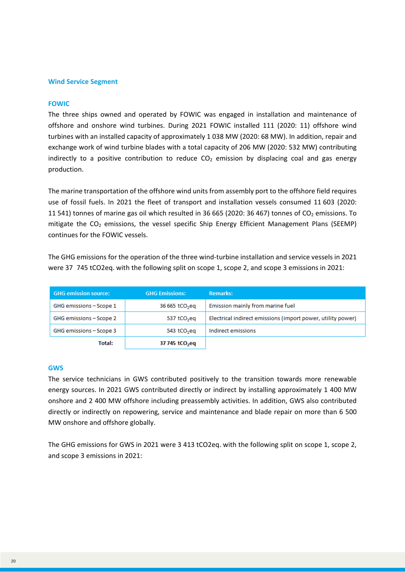#### **Wind Service Segment**

#### **FOWIC**

The three ships owned and operated by FOWIC was engaged in installation and maintenance of offshore and onshore wind turbines. During 2021 FOWIC installed 111 (2020: 11) offshore wind turbines with an installed capacity of approximately 1 038 MW (2020: 68 MW). In addition, repair and exchange work of wind turbine blades with a total capacity of 206 MW (2020: 532 MW) contributing indirectly to a positive contribution to reduce  $CO<sub>2</sub>$  emission by displacing coal and gas energy production.

The marine transportation of the offshore wind units from assembly port to the offshore field requires use of fossil fuels. In 2021 the fleet of transport and installation vessels consumed 11 603 (2020: 11 541) tonnes of marine gas oil which resulted in 36 665 (2020: 36 467) tonnes of  $CO<sub>2</sub>$  emissions. To mitigate the  $CO<sub>2</sub>$  emissions, the vessel specific Ship Energy Efficient Management Plans (SEEMP) continues for the FOWIC vessels.

The GHG emissions for the operation of the three wind-turbine installation and service vessels in 2021 were 370745 tCO2eq. with the following split on scope 1, scope 2, and scope 3 emissions in 2021:

| <b>GHG</b> emission source: | <b>GHG Emissions:</b>      | <b>Remarks:</b>                                             |
|-----------------------------|----------------------------|-------------------------------------------------------------|
| GHG emissions - Scope 1     | 36 665 tCO <sub>2</sub> eq | Emission mainly from marine fuel                            |
| GHG emissions - Scope 2     | 537 tCO <sub>2</sub> eq    | Electrical indirect emissions (import power, utility power) |
| GHG emissions - Scope 3     | 543 tCO <sub>2</sub> eq    | Indirect emissions                                          |
| <b>Total:</b>               | 37 745 tCO <sub>2</sub> eq |                                                             |

#### **GWS**

The service technicians in GWS contributed positively to the transition towards more renewable energy sources. In 2021 GWS contributed directly or indirect by installing approximately 1 400 MW onshore and 2 400 MW offshore including preassembly activities. In addition, GWS also contributed directly or indirectly on repowering, service and maintenance and blade repair on more than 6 500 MW onshore and offshore globally.

The GHG emissions for GWS in 2021 were 3 413 tCO2eq. with the following split on scope 1, scope 2, and scope 3 emissions in 2021: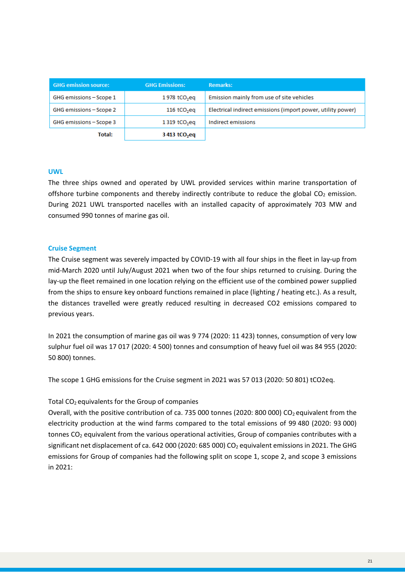| <b>GHG emission source:</b> | <b>GHG Emissions:</b>     | <b>Remarks:</b>                                             |
|-----------------------------|---------------------------|-------------------------------------------------------------|
| GHG emissions - Scope 1     | 1978 tCO <sub>2</sub> eq  | Emission mainly from use of site vehicles                   |
| GHG emissions - Scope 2     | $116$ tCO <sub>2</sub> eq | Electrical indirect emissions (import power, utility power) |
| GHG emissions - Scope 3     | 1319 tCO <sub>2</sub> eq  | Indirect emissions                                          |
| Total:                      | 3413 tCO <sub>2</sub> eq  |                                                             |

#### **UWL**

The three ships owned and operated by UWL provided services within marine transportation of offshore turbine components and thereby indirectly contribute to reduce the global  $CO<sub>2</sub>$  emission. During 2021 UWL transported nacelles with an installed capacity of approximately 703 MW and consumed 990 tonnes of marine gas oil.

#### **Cruise Segment**

The Cruise segment was severely impacted by COVID-19 with all four ships in the fleet in lay-up from mid-March 2020 until July/August 2021 when two of the four ships returned to cruising. During the lay-up the fleet remained in one location relying on the efficient use of the combined power supplied from the ships to ensure key onboard functions remained in place (lighting / heating etc.). As a result, the distances travelled were greatly reduced resulting in decreased CO2 emissions compared to previous years.

In 2021 the consumption of marine gas oil was 9 774 (2020: 11 423) tonnes, consumption of very low sulphur fuel oil was 17 017 (2020: 4 500) tonnes and consumption of heavy fuel oil was 84 955 (2020: 50 800) tonnes.

The scope 1 GHG emissions for the Cruise segment in 2021 was 57 013 (2020: 50 801) tCO2eq.

#### Total  $CO<sub>2</sub>$  equivalents for the Group of companies

Overall, with the positive contribution of ca. 735 000 tonnes (2020: 800 000) CO<sub>2</sub> equivalent from the electricity production at the wind farms compared to the total emissions of 99 480 (2020: 93 000) tonnes CO<sub>2</sub> equivalent from the various operational activities, Group of companies contributes with a significant net displacement of ca. 642 000 (2020: 685 000) CO<sub>2</sub> equivalent emissions in 2021. The GHG emissions for Group of companies had the following split on scope 1, scope 2, and scope 3 emissions in 2021: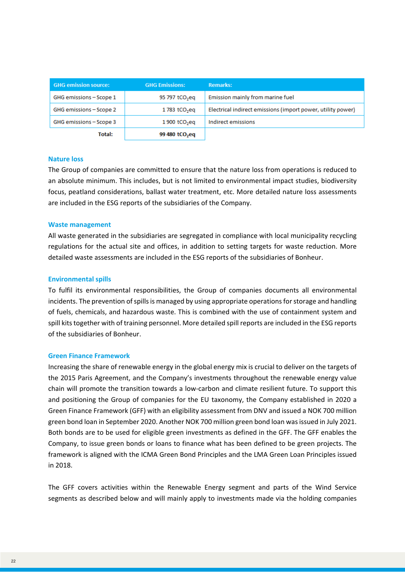| <b>GHG emission source:</b> | <b>GHG Emissions:</b>      | <b>Remarks:</b>                                             |
|-----------------------------|----------------------------|-------------------------------------------------------------|
| GHG emissions - Scope 1     | 95 797 tCO <sub>2</sub> eq | Emission mainly from marine fuel                            |
| GHG emissions - Scope 2     | 1783 tCO <sub>2</sub> eq   | Electrical indirect emissions (import power, utility power) |
| GHG emissions - Scope 3     | 1900 tCO <sub>2</sub> eq   | Indirect emissions                                          |
| Total:                      | 99 480 tCO <sub>2</sub> eq |                                                             |

#### **Nature loss**

The Group of companies are committed to ensure that the nature loss from operations is reduced to an absolute minimum. This includes, but is not limited to environmental impact studies, biodiversity focus, peatland considerations, ballast water treatment, etc. More detailed nature loss assessments are included in the ESG reports of the subsidiaries of the Company.

#### **Waste management**

All waste generated in the subsidiaries are segregated in compliance with local municipality recycling regulations for the actual site and offices, in addition to setting targets for waste reduction. More detailed waste assessments are included in the ESG reports of the subsidiaries of Bonheur.

#### **Environmental spills**

To fulfil its environmental responsibilities, the Group of companies documents all environmental incidents. The prevention of spills is managed by using appropriate operations for storage and handling of fuels, chemicals, and hazardous waste. This is combined with the use of containment system and spill kits together with of training personnel. More detailed spill reports are included in the ESG reports of the subsidiaries of Bonheur.

#### **Green Finance Framework**

Increasing the share of renewable energy in the global energy mix is crucial to deliver on the targets of the 2015 Paris Agreement, and the Company's investments throughout the renewable energy value chain will promote the transition towards a low-carbon and climate resilient future. To support this and positioning the Group of companies for the EU taxonomy, the Company established in 2020 a Green Finance Framework (GFF) with an eligibility assessment from DNV and issued a NOK 700 million green bond loan in September 2020. Another NOK 700 million green bond loan was issued in July 2021. Both bonds are to be used for eligible green investments as defined in the GFF. The GFF enables the Company, to issue green bonds or loans to finance what has been defined to be green projects. The framework is aligned with the ICMA Green Bond Principles and the LMA Green Loan Principles issued in 2018.

The GFF covers activities within the Renewable Energy segment and parts of the Wind Service segments as described below and will mainly apply to investments made via the holding companies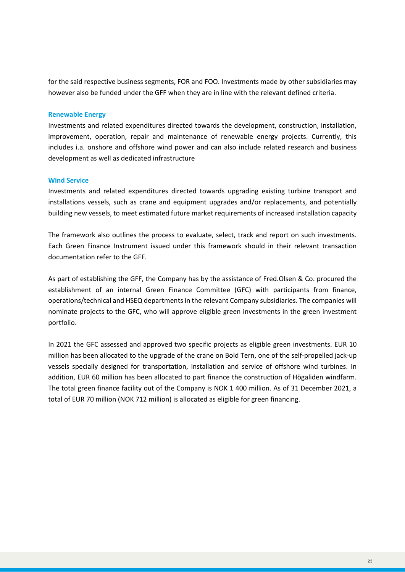for the said respective business segments, FOR and FOO. Investments made by other subsidiaries may however also be funded under the GFF when they are in line with the relevant defined criteria.

#### **Renewable Energy**

Investments and related expenditures directed towards the development, construction, installation, improvement, operation, repair and maintenance of renewable energy projects. Currently, this includes i.a. onshore and offshore wind power and can also include related research and business development as well as dedicated infrastructure

#### **Wind Service**

Investments and related expenditures directed towards upgrading existing turbine transport and installations vessels, such as crane and equipment upgrades and/or replacements, and potentially building new vessels, to meet estimated future market requirements of increased installation capacity

The framework also outlines the process to evaluate, select, track and report on such investments. Each Green Finance Instrument issued under this framework should in their relevant transaction documentation refer to the GFF.

As part of establishing the GFF, the Company has by the assistance of Fred.Olsen & Co. procured the establishment of an internal Green Finance Committee (GFC) with participants from finance, operations/technical and HSEQ departments in the relevant Company subsidiaries. The companies will nominate projects to the GFC, who will approve eligible green investments in the green investment portfolio.

In 2021 the GFC assessed and approved two specific projects as eligible green investments. EUR 10 million has been allocated to the upgrade of the crane on Bold Tern, one of the self-propelled jack-up vessels specially designed for transportation, installation and service of offshore wind turbines. In addition, EUR 60 million has been allocated to part finance the construction of Högaliden windfarm. The total green finance facility out of the Company is NOK 1 400 million. As of 31 December 2021, a total of EUR 70 million (NOK 712 million) is allocated as eligible for green financing.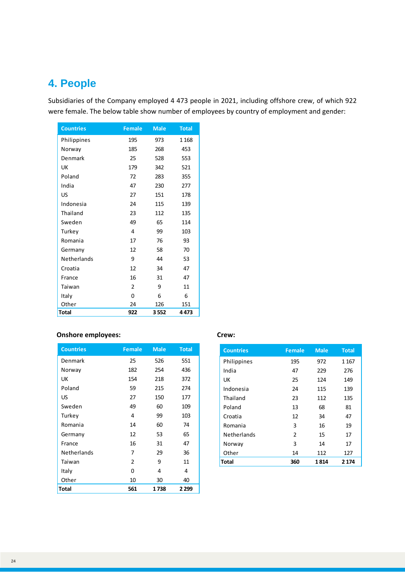# <span id="page-23-0"></span>**4. People**

Subsidiaries of the Company employed 4 473 people in 2021, including offshore crew, of which 922 were female. The below table show number of employees by country of employment and gender:

| <b>Countries</b> | <b>Female</b>  | <b>Male</b> | <b>Total</b> |
|------------------|----------------|-------------|--------------|
| Philippines      | 195            | 973         | 1 1 6 8      |
| Norway           | 185            | 268         | 453          |
| Denmark          | 25             | 528         | 553          |
| UK               | 179            | 342         | 521          |
| Poland           | 72             | 283         | 355          |
| India            | 47             | 230         | 277          |
| US               | 27             | 151         | 178          |
| Indonesia        | 24             | 115         | 139          |
| Thailand         | 23             | 112         | 135          |
| Sweden           | 49             | 65          | 114          |
| Turkey           | 4              | 99          | 103          |
| Romania          | 17             | 76          | 93           |
| Germany          | 12             | 58          | 70           |
| Netherlands      | 9              | 44          | 53           |
| Croatia          | 12             | 34          | 47           |
| France           | 16             | 31          | 47           |
| Taiwan           | $\mathfrak{p}$ | 9           | 11           |
| Italy            | 0              | 6           | 6            |
| Other            | 24             | 126         | 151          |
| <b>Total</b>     | 922            | 3552        | 4 4 7 3      |

### **Onshore employees:** Crew:

| <b>Countries</b> | <b>Female</b> | <b>Male</b> | <b>Total</b> |
|------------------|---------------|-------------|--------------|
| Denmark          | 25            | 526         | 551          |
| Norway           | 182           | 254         | 436          |
| UK               | 154           | 218         | 372          |
| Poland           | 59            | 215         | 274          |
| US               | 27            | 150         | 177          |
| Sweden           | 49            | 60          | 109          |
| Turkey           | 4             | 99          | 103          |
| Romania          | 14            | 60          | 74           |
| Germany          | 12            | 53          | 65           |
| France           | 16            | 31          | 47           |
| Netherlands      | 7             | 29          | 36           |
| Taiwan           | $\mathfrak z$ | 9           | 11           |
| Italy            | 0             | 4           | 4            |
| Other            | 10            | 30          | 40           |
| Total            | 561           | 1738        | 2 2 9 9      |

| <b>Countries</b>   | <b>Female</b> | <b>Male</b> | <b>Total</b> |
|--------------------|---------------|-------------|--------------|
| Philippines        | 195           | 972         | 1 1 6 7      |
| India              | 47            | 229         | 276          |
| UK                 | 25            | 124         | 149          |
| Indonesia          | 24            | 115         | 139          |
| Thailand           | 23            | 112         | 135          |
| Poland             | 13            | 68          | 81           |
| Croatia            | 12            | 34          | 47           |
| Romania            | 3             | 16          | 19           |
| <b>Netherlands</b> | $\mathcal{P}$ | 15          | 17           |
| Norway             | 3             | 14          | 17           |
| Other              | 14            | 112         | 127          |
| Total              | 360           | 1814        | 2 1 7 4      |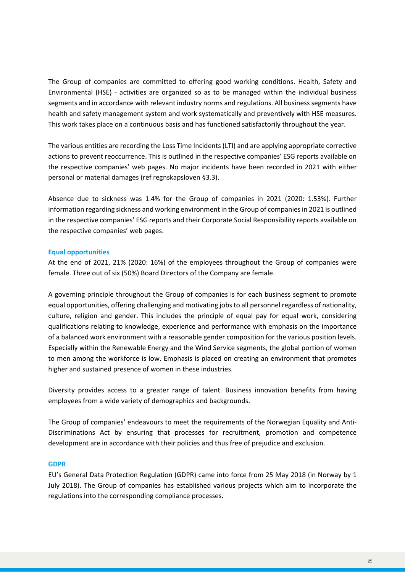The Group of companies are committed to offering good working conditions. Health, Safety and Environmental (HSE) - activities are organized so as to be managed within the individual business segments and in accordance with relevant industry norms and regulations. All business segments have health and safety management system and work systematically and preventively with HSE measures. This work takes place on a continuous basis and has functioned satisfactorily throughout the year.

The various entities are recording the Loss Time Incidents (LTI) and are applying appropriate corrective actions to prevent reoccurrence. This is outlined in the respective companies' ESG reports available on the respective companies' web pages. No major incidents have been recorded in 2021 with either personal or material damages (ref regnskapsloven §3.3).

Absence due to sickness was 1.4% for the Group of companies in 2021 (2020: 1.53%). Further information regarding sickness and working environment in the Group of companies in 2021 is outlined in the respective companies' ESG reports and their Corporate Social Responsibility reports available on the respective companies' web pages.

#### **Equal opportunities**

At the end of 2021, 21% (2020: 16%) of the employees throughout the Group of companies were female. Three out of six (50%) Board Directors of the Company are female.

A governing principle throughout the Group of companies is for each business segment to promote equal opportunities, offering challenging and motivating jobs to all personnel regardless of nationality, culture, religion and gender. This includes the principle of equal pay for equal work, considering qualifications relating to knowledge, experience and performance with emphasis on the importance of a balanced work environment with a reasonable gender composition for the various position levels. Especially within the Renewable Energy and the Wind Service segments, the global portion of women to men among the workforce is low. Emphasis is placed on creating an environment that promotes higher and sustained presence of women in these industries.

Diversity provides access to a greater range of talent. Business innovation benefits from having employees from a wide variety of demographics and backgrounds.

The Group of companies' endeavours to meet the requirements of the Norwegian Equality and Anti-Discriminations Act by ensuring that processes for recruitment, promotion and competence development are in accordance with their policies and thus free of prejudice and exclusion.

#### **GDPR**

EU's General Data Protection Regulation (GDPR) came into force from 25 May 2018 (in Norway by 1 July 2018). The Group of companies has established various projects which aim to incorporate the regulations into the corresponding compliance processes.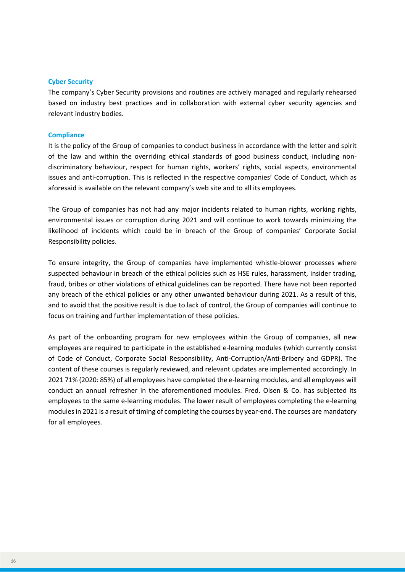#### **Cyber Security**

The company's Cyber Security provisions and routines are actively managed and regularly rehearsed based on industry best practices and in collaboration with external cyber security agencies and relevant industry bodies.

#### **Compliance**

It is the policy of the Group of companies to conduct business in accordance with the letter and spirit of the law and within the overriding ethical standards of good business conduct, including nondiscriminatory behaviour, respect for human rights, workers' rights, social aspects, environmental issues and anti-corruption. This is reflected in the respective companies' Code of Conduct, which as aforesaid is available on the relevant company's web site and to all its employees.

The Group of companies has not had any major incidents related to human rights, working rights, environmental issues or corruption during 2021 and will continue to work towards minimizing the likelihood of incidents which could be in breach of the Group of companies' Corporate Social Responsibility policies.

To ensure integrity, the Group of companies have implemented whistle-blower processes where suspected behaviour in breach of the ethical policies such as HSE rules, harassment, insider trading, fraud, bribes or other violations of ethical guidelines can be reported. There have not been reported any breach of the ethical policies or any other unwanted behaviour during 2021. As a result of this, and to avoid that the positive result is due to lack of control, the Group of companies will continue to focus on training and further implementation of these policies.

As part of the onboarding program for new employees within the Group of companies, all new employees are required to participate in the established e-learning modules (which currently consist of Code of Conduct, Corporate Social Responsibility, Anti-Corruption/Anti-Bribery and GDPR). The content of these courses is regularly reviewed, and relevant updates are implemented accordingly. In 2021 71% (2020: 85%) of all employees have completed the e-learning modules, and all employees will conduct an annual refresher in the aforementioned modules. Fred. Olsen & Co. has subjected its employees to the same e-learning modules. The lower result of employees completing the e-learning modules in 2021 is a result of timing of completing the courses by year-end. The courses are mandatory for all employees.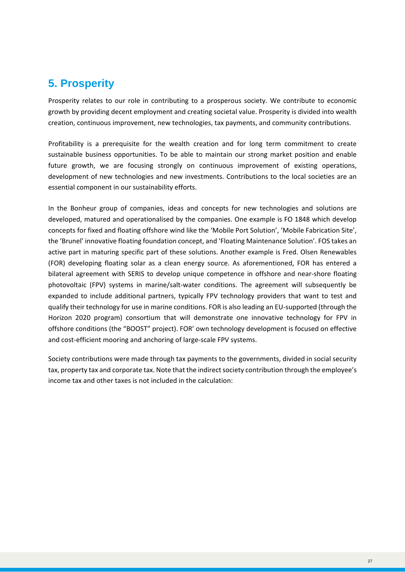# <span id="page-26-0"></span>**5. Prosperity**

Prosperity relates to our role in contributing to a prosperous society. We contribute to economic growth by providing decent employment and creating societal value. Prosperity is divided into wealth creation, continuous improvement, new technologies, tax payments, and community contributions.

Profitability is a prerequisite for the wealth creation and for long term commitment to create sustainable business opportunities. To be able to maintain our strong market position and enable future growth, we are focusing strongly on continuous improvement of existing operations, development of new technologies and new investments. Contributions to the local societies are an essential component in our sustainability efforts.

In the Bonheur group of companies, ideas and concepts for new technologies and solutions are developed, matured and operationalised by the companies. One example is FO 1848 which develop concepts for fixed and floating offshore wind like the 'Mobile Port Solution', 'Mobile Fabrication Site', the 'Brunel' innovative floating foundation concept, and 'Floating Maintenance Solution'. FOS takes an active part in maturing specific part of these solutions. Another example is Fred. Olsen Renewables (FOR) developing floating solar as a clean energy source. As aforementioned, FOR has entered a bilateral agreement with SERIS to develop unique competence in offshore and near-shore floating photovoltaic (FPV) systems in marine/salt-water conditions. The agreement will subsequently be expanded to include additional partners, typically FPV technology providers that want to test and qualify their technology for use in marine conditions. FOR is also leading an EU-supported (through the Horizon 2020 program) consortium that will demonstrate one innovative technology for FPV in offshore conditions (the "BOOST" project). FOR' own technology development is focused on effective and cost-efficient mooring and anchoring of large-scale FPV systems.

Society contributions were made through tax payments to the governments, divided in social security tax, property tax and corporate tax. Note that the indirect society contribution through the employee's income tax and other taxes is not included in the calculation: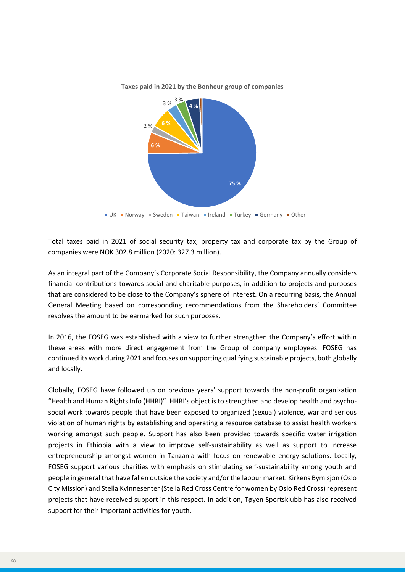

Total taxes paid in 2021 of social security tax, property tax and corporate tax by the Group of companies were NOK 302.8 million (2020: 327.3 million).

As an integral part of the Company's Corporate Social Responsibility, the Company annually considers financial contributions towards social and charitable purposes, in addition to projects and purposes that are considered to be close to the Company's sphere of interest. On a recurring basis, the Annual General Meeting based on corresponding recommendations from the Shareholders' Committee resolves the amount to be earmarked for such purposes.

In 2016, the FOSEG was established with a view to further strengthen the Company's effort within these areas with more direct engagement from the Group of company employees. FOSEG has continued its work during 2021 and focuses on supporting qualifying sustainable projects, both globally and locally.

Globally, FOSEG have followed up on previous years' support towards the non-profit organization "Health and Human Rights Info (HHRI)". HHRI's object is to strengthen and develop health and psychosocial work towards people that have been exposed to organized (sexual) violence, war and serious violation of human rights by establishing and operating a resource database to assist health workers working amongst such people. Support has also been provided towards specific water irrigation projects in Ethiopia with a view to improve self-sustainability as well as support to increase entrepreneurship amongst women in Tanzania with focus on renewable energy solutions. Locally, FOSEG support various charities with emphasis on stimulating self-sustainability among youth and people in general that have fallen outside the society and/or the labour market. Kirkens Bymisjon (Oslo City Mission) and Stella Kvinnesenter (Stella Red Cross Centre for women by Oslo Red Cross) represent projects that have received support in this respect. In addition, Tøyen Sportsklubb has also received support for their important activities for youth.